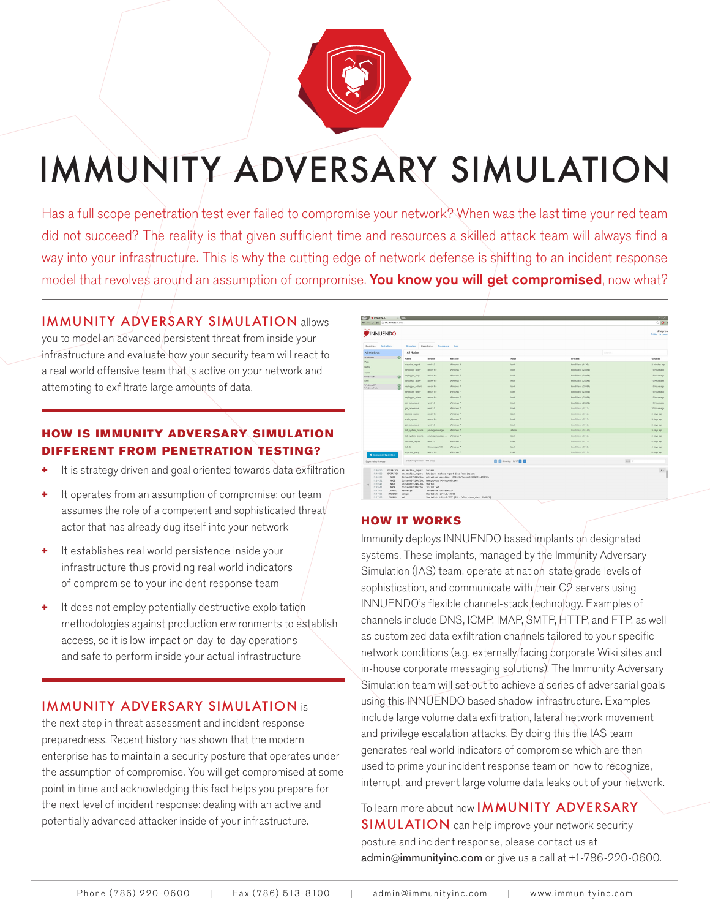

# IMMUNITY ADVERSARY SIMULATION

Has a full scope penetration test ever failed to compromise your network? When was the last time your red team did not succeed? The reality is that given sufficient time and resources a skilled attack team will always find a way into your infrastructure. This is why the cutting edge of network defense is shifting to an incident response model that revolves around an assumption of compromise. You know you will get compromised, now what?

## IMMUNITY ADVERSARY SIMULATION allows

you to model an advanced persistent threat from inside your infrastructure and evaluate how your security team will react to a real world offensive team that is active on your network and attempting to exfiltrate large amounts of data.

#### HOW IS IMMUNITY ADVERSARY SIMULATION **FFERENT FROM PENETRATION TESTING?**

- It is strategy driven and goal oriented towards data exfiltration
- + It operates from an assumption of compromise: our team assumes the role of a competent and sophisticated threat actor that has already dug itself into your network
- It establishes real world persistence inside your infrastructure thus providing real world indicators of compromise to your incident response team
- + It does not employ potentially destructive exploitation methodologies against production environments to establish access, so it is low-impact on day-to-day operations and safe to perform inside your actual infrastructure

### IMMUNITY ADVERSARY SIMULATION is

the next step in threat assessment and incident response preparedness. Recent history has shown that the modern enterprise has to maintain a security posture that operates under the assumption of compromise. You will get compromised at some point in time and acknowledging this fact helps you prepare for the next level of incident response: dealing with an active and potentially advanced attacker inside of your infrastructure.

| C n Diocahost 8181                          |                                                                |                                                 |                                                                                                                                             |                                 |                           | $\circ$ 0                          |
|---------------------------------------------|----------------------------------------------------------------|-------------------------------------------------|---------------------------------------------------------------------------------------------------------------------------------------------|---------------------------------|---------------------------|------------------------------------|
| INNUENDO                                    |                                                                |                                                 |                                                                                                                                             |                                 |                           | dhagrow<br><b>Cifies</b> in Legacy |
| <b>Machines</b><br><b>Attivations</b>       | Overview                                                       | Operations<br><b>Processes</b>                  | 1.00                                                                                                                                        |                                 |                           |                                    |
| All Machines                                | All Nodes                                                      | director                                        |                                                                                                                                             |                                 |                           |                                    |
| Windows 7<br>$\Omega$                       | Name                                                           | Module                                          | Machine                                                                                                                                     | Node                            | Process                   | <b>Updated</b>                     |
| toot<br>laptop                              | machine report                                                 | wri1.0                                          | Windows 8                                                                                                                                   | boot                            | boot04.exe (1436)         | 2 minutes ago                      |
| adven.                                      | keylogger_query                                                | recon 1.0                                       | Windows 7                                                                                                                                   | boot.                           | boot04.exe (23884)        | 19 hours ago                       |
| $\Omega$<br>Windows 6                       | keylogger stop                                                 | Feddin 1.0                                      | Windows 7                                                                                                                                   | <b>DOOR</b>                     | DO0054.exe (23884)        | 19 hours ago                       |
| boot.                                       | keylogger_query                                                | recon 1.0                                       | Windows 7                                                                                                                                   | boot                            | boot64.кее (23854)        | 19 hours ago                       |
| Windows XP<br>8<br>Windows 7 ubl.           | кеугордег_солест                                               | recon 1.0                                       | Windows 7                                                                                                                                   | boot                            | boot04.exe (23884)        | 19 hours ago                       |
|                                             | reludões" dresh                                                | Fecco 1.0                                       | Windows 7                                                                                                                                   | poor.                           | booths are (23004)        | 19 hours ago                       |
|                                             | keylogger_attach                                               | recon 1.0                                       | Windows 7                                                                                                                                   | boot.                           | book54.кее (23884)        | 59 hours ago                       |
|                                             | get processes                                                  | wri 1.0                                         | Wildows 7                                                                                                                                   | boot                            | 000804.exe (23884)        | 19 hours ago                       |
|                                             | get_processes                                                  | wint 1.0                                        | Windows 7                                                                                                                                   | boot                            | посебя жен (67 12).       | 20 hours ago                       |
|                                             | corners coery                                                  | recon 1.0                                       | Windows 7                                                                                                                                   | boot                            | boot64 area (8712)        | 3 days ago                         |
|                                             | audo query.                                                    | recon 1.0                                       | Windows 7                                                                                                                                   | <b>Door</b>                     | booths was (87.12)        | 3 days ago                         |
|                                             | get_processes                                                  | wrs 1.0                                         | Windows 7                                                                                                                                   | boot                            | boot64.cop (8712)         | 3 days ago                         |
|                                             | ltd, system, tohans                                            | privilegemanager                                | Windows 7                                                                                                                                   | admin                           | <b>BootS4.kee (10148)</b> | 3 days ago                         |
|                                             | Bit, system, tokens                                            | privilegemanager                                | Windows 7                                                                                                                                   | boot                            | bookld rise (8712)        | 3 days ago                         |
|                                             | machine_report                                                 | writ 1.0                                        | Windows 7                                                                                                                                   | boot.                           | boot64.ceo (87.12)        | 4 days ago                         |
|                                             | <b>Intuite</b>                                                 | filemanager 1.0                                 | Wedows 7                                                                                                                                    | boot                            | boot04.exe (8712).        | 4 days ago                         |
| O Execute an Operation                      | arpscan_cuery                                                  | mean 1.0                                        | Windows 7                                                                                                                                   | boot                            | bookld men (8712)         | 4 days ago                         |
| Supervising 4 nodes                         | O active operations (133 total)                                |                                                 |                                                                                                                                             | <b>BB</b> Downg 1b 17 <b>BB</b> |                           | limit 17                           |
| 11140190<br>OPERATION                       | uni.machina_report Success                                     |                                                 |                                                                                                                                             |                                 |                           | $\lambda \leq \frac{1}{2}$         |
| OPERATION<br>11:40:50<br>11:40:03<br>noos   |                                                                |                                                 | wmi.machine_report Retrieved machine report data from implant<br>Ob3fab3697b249a7bb. Activating operation: #f522a3b79ec4db1832d2f7e547bb92b |                                 |                           |                                    |
| 11:33:52<br>NODE                            |                                                                | 053fab3697b249a7bb, New process 1436/boot64.exe |                                                                                                                                             |                                 |                           |                                    |
| 11:33:41<br>NODE<br>Log<br>11139141<br>NODE | 0b3fab3697b249a7bb, Startup<br>db3fab3697b249a7bb, Initialized |                                                 |                                                                                                                                             |                                 |                           |                                    |
| 11177105<br><b>OWNEL</b>                    | namedpipe                                                      | Terminated successfully                         |                                                                                                                                             |                                 |                           |                                    |
| INV.CNOO<br>11:17:05<br>11:17:05<br>OWNEL   | webrpc<br>wó                                                   | Started at 127.0.0.1:9998                       | Started at 0.0.0.0:7777 [SSL: False chunk_size: 1048575]                                                                                    |                                 |                           |                                    |

#### HOW IT WORKS

Immunity deploys INNUENDO based implants on designated systems. These implants, managed by the Immunity Adversary Simulation (IAS) team, operate at nation-state/grade levels of sophistication, and communicate with their  $C2$  servers using INNUENDO's flexible channel-stack technology. Examples of channels include DNS, ICMP, IMAP, SMTP, HTTP, and FTP, as well as customized data exfiltration channels tailored to your specific network conditions (e.g. externally/facing corporate Wiki sites and in-house corporate messaging solutions). The Immunity Adversary Simulation team will set out to achieve a series of adversarial goals using this INNUENDO based shadow-infrastructure. Examples include large volume data exfiltration, lateral network movement and privilege escalation attacks. By doing this the IAS team generates real world indicators of compromise which are then used to prime your incident response team on how to recognize, interrupt, and prevent large volume data leaks out of your network.

To learn more about how **IMMUNITY ADVERSARY** SIMULATION can help improve your network security

posture and incident response, please contact us at [admin@immunityinc.com](mailto:admin%40immunityinc.com?subject=Adversary%20Simulation%20Services) or give us a call at +1-786-220-0600.